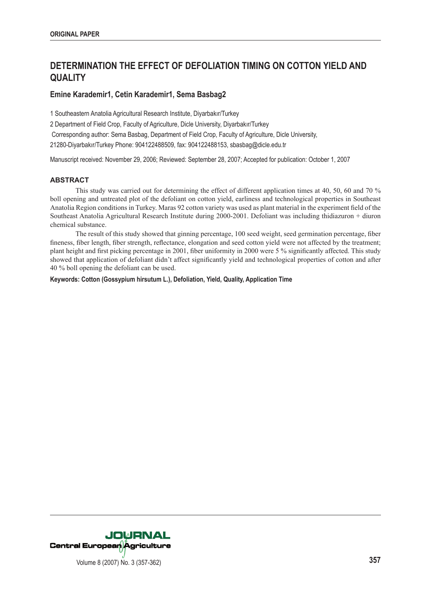# **DETERMINATION THE EFFECT OF DEFOLIATION TIMING ON COTTON YIELD AND QUALITY**

# **Emine Karademir1, Cetin Karademir1, Sema Basbag2**

1 Southeastern Anatolia Agricultural Research Institute, Diyarbakır/Turkey

2 Department of Field Crop, Faculty of Agriculture, Dicle University, Diyarbakır/Turkey

Corresponding author: Sema Basbag, Department of Field Crop, Faculty of Agriculture, Dicle University,

21280-Diyarbakır/Turkey Phone: 904122488509, fax: 904122488153, sbasbag@dicle.edu.tr

Manuscript received: November 29, 2006; Reviewed: September 28, 2007; Accepted for publication: October 1, 2007

# **ABSTRACT**

 This study was carried out for determining the effect of different application times at 40, 50, 60 and 70 % boll opening and untreated plot of the defoliant on cotton yield, earliness and technological properties in Southeast Anatolia Region conditions in Turkey. Maras 92 cotton variety was used as plant material in the experiment field of the Southeast Anatolia Agricultural Research Institute during 2000-2001. Defoliant was including thidiazuron + diuron chemical substance.

 The result of this study showed that ginning percentage, 100 seed weight, seed germination percentage, fiber fineness, fiber length, fiber strength, reflectance, elongation and seed cotton yield were not affected by the treatment; plant height and first picking percentage in 2001, fiber uniformity in 2000 were 5 % significantly affected. This study showed that application of defoliant didn't affect significantly yield and technological properties of cotton and after 40 % boll opening the defoliant can be used.

**Keywords: Cotton (Gossypium hirsutum L.), Defoliation, Yield, Quality, Application Time** 

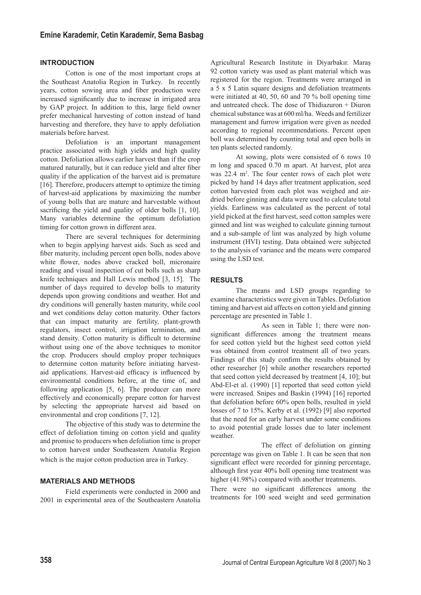# **INTRODUCTION**

 Cotton is one of the most important crops at the Southeast Anatolia Region in Turkey. In recently years, cotton sowing area and fiber production were increased significantly due to increase in irrigated area by GAP project. In addition to this, large field owner prefer mechanical harvesting of cotton instead of hand harvesting and therefore, they have to apply defoliation materials before harvest.

 Defoliation is an important management practice associated with high yields and high quality cotton. Defoliation allows earlier harvest than if the crop matured naturally, but it can reduce yield and alter fiber quality if the application of the harvest aid is premature [16]. Therefore, producers attempt to optimize the timing of harvest-aid applications by maximizing the number of young bolls that are mature and harvestable without sacrificing the yield and quality of older bolls [1, 10]. Many variables determine the optimum defoliation timing for cotton grown in different area.

 There are several techniques for determining when to begin applying harvest aids. Such as seed and fiber maturity, including percent open bolls, nodes above white flower, nodes above cracked boll, micronaire reading and visual inspection of cut bolls such as sharp knife techniques and Hall Lewis method [3, 15]. The number of days required to develop bolls to maturity depends upon growing conditions and weather. Hot and dry conditions will generally hasten maturity, while cool and wet conditions delay cotton maturity. Other factors that can impact maturity are fertility, plant-growth regulators, insect control, irrigation termination, and stand density. Cotton maturity is difficult to determine without using one of the above techniques to monitor the crop. Producers should employ proper techniques to determine cotton maturity before initiating harvestaid applications. Harvest-aid efficacy is influenced by environmental conditions before, at the time of, and following application [5, 6]. The producer can more effectively and economically prepare cotton for harvest by selecting the appropriate harvest aid based on environmental and crop conditions [7, 12].

 The objective of this study was to determine the effect of defoliation timing on cotton yield and quality and promise to producers when defoliation time is proper to cotton harvest under Southeastern Anatolia Region which is the major cotton production area in Turkey.

# **MATERIALS AND METHODS**

 Field experiments were conducted in 2000 and 2001 in experimental area of the Southeastern Anatolia

Agricultural Research Institute in Diyarbakır. Maraş 92 cotton variety was used as plant material which was registered for the region. Treatments were arranged in a 5 x 5 Latin square designs and defoliation treatments were initiated at 40, 50, 60 and 70 % boll opening time and untreated check. The dose of Thidiazuron + Diuron chemical substance was at 600 ml/ha. Weeds and fertilizer management and furrow irrigation were given as needed according to regional recommendations. Percent open boll was determined by counting total and open bolls in ten plants selected randomly.

 At sowing, plots were consisted of 6 rows 10 m long and spaced 0.70 m apart. At harvest, plot area was 22.4 m<sup>2</sup>. The four center rows of each plot were picked by hand 14 days after treatment application, seed cotton harvested from each plot was weighed and airdried before ginning and data were used to calculate total yields. Earliness was calculated as the percent of total yield picked at the first harvest, seed cotton samples were ginned and lint was weighed to calculate ginning turnout and a sub-sample of lint was analyzed by high volume instrument (HVI) testing. Data obtained were subjected to the analysis of variance and the means were compared using the LSD test.

# **RESULTS**

 The means and LSD groups regarding to examine characteristics were given in Tables. Defoliation timing and harvest aid affects on cotton yield and ginning percentage are presented in Table 1.

 As seen in Table 1; there were nonsignificant differences among the treatment means for seed cotton yield but the highest seed cotton yield was obtained from control treatment all of two years. Findings of this study confirm the results obtained by other researcher [6] while another researchers reported that seed cotton yield decreased by treatment [4, 10]; but Abd-El-et al. (1990) [1] reported that seed cotton yield were increased. Snipes and Baskin (1994) [16] reported that defoliation before 60% open bolls, resulted in yield losses of 7 to 15%. Kerby et al. (1992) [9] also reported that the need for an early harvest under some conditions to avoid potential grade losses due to later inclement weather.

 The effect of defoliation on ginning percentage was given on Table 1. It can be seen that non significant effect were recorded for ginning percentage, although first year 40% boll opening time treatment was higher (41.98%) compared with another treatments.

There were no significant differences among the treatments for 100 seed weight and seed germination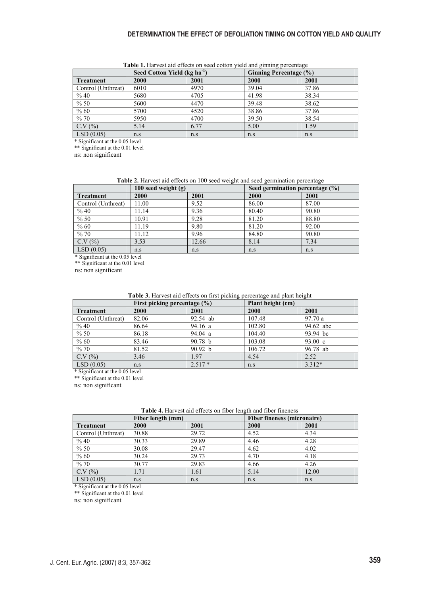|                    | Seed Cotton Yield (kg ha <sup>-1</sup> ) |      | Ginning Percentage (%) |       |
|--------------------|------------------------------------------|------|------------------------|-------|
| <b>Treatment</b>   | 2000                                     | 2001 | 2000                   | 2001  |
| Control (Unthreat) | 6010                                     | 4970 | 39.04                  | 37.86 |
| % 40               | 5680                                     | 4705 | 41.98                  | 38.34 |
| $\frac{9}{6}$ 50   | 5600                                     | 4470 | 39.48                  | 38.62 |
| % 60               | 5700                                     | 4520 | 38.86                  | 37.86 |
| %70                | 5950                                     | 4700 | 39.50                  | 38.54 |
| C.V (%)            | 5.14                                     | 6.77 | 5.00                   | 1.59  |
| LSD(0.05)<br>.     | n.s                                      | n.s  | n.s                    | n.s   |

Table 1. Harvest aid effects on seed cotton yield and ginning percentage

\* Significant at the 0.05 level

\*\* Significant at the 0.01 level

ns: non significant

#### Table 2. Harvest aid effects on 100 seed weight and seed germination percentage

|                    | 100 seed weight $(g)$ |       | Seed germination percentage $(\% )$ |       |
|--------------------|-----------------------|-------|-------------------------------------|-------|
| Treatment          | 2000                  | 2001  | 2000                                | 2001  |
| Control (Unthreat) | 11.00                 | 9.52  | 86.00                               | 87.00 |
| % 40               | 11.14                 | 9.36  | 80.40                               | 90.80 |
| $\frac{9}{6}$ 50   | 10.91                 | 9.28  | 81.20                               | 88.80 |
| % 60               | 11.19                 | 9.80  | 81.20                               | 92.00 |
| %70                | 11.12                 | 9.96  | 84.80                               | 90.80 |
| C.V (%)            | 3.53                  | 12.66 | 8.14                                | 7.34  |
| LSD(0.05)          | n.s                   | n.s   | n.s                                 | n.s   |

\* Significant at the 0.05 level

\*\* Significant at the 0.01 level

ns: non significant

**Table 3.** Harvest aid effects on first picking percentage and plant height

|                    | First picking percentage $(\% )$ |                    | Plant height (cm) |                   |
|--------------------|----------------------------------|--------------------|-------------------|-------------------|
| <b>Treatment</b>   | 2000                             | 2001               | 2000              | 2001              |
| Control (Unthreat) | 82.06                            | 92.54 ab           | 107.48            | 97.70a            |
| % 40               | 86.64                            | 94.16a             | 102.80            | 94.62 abc         |
| % 50               | 86.18                            | 94.04 a            | 104.40            | 93.94 bc          |
| % 60               | 83.46                            | 90.78 <sub>b</sub> | 103.08            | $93.00 \text{ c}$ |
| %70                | 81.52                            | 90.92 b            | 106.72            | 96.78 ab          |
| C.V(%)             | 3.46                             | 1.97               | 4.54              | 2.52              |
| LSD(0.05)          | n.s                              | $2.517*$           | n.s               | $3.312*$          |

\* Significant at the 0.05 level

\*\* Significant at the 0.01 level

ns: non significant

|                    | Fiber length (mm) |       | <b>Fiber fineness (micronaire)</b> |       |
|--------------------|-------------------|-------|------------------------------------|-------|
| <b>Treatment</b>   | 2000              | 2001  | 2000                               | 2001  |
| Control (Unthreat) | 30.88             | 29.72 | 4.52                               | 4.34  |
| % 40               | 30.33             | 29.89 | 4.46                               | 4.28  |
| $\frac{9}{6}$ 50   | 30.08             | 29.47 | 4.62                               | 4.02  |
| $\frac{6}{60}$     | 30.24             | 29.73 | 4.70                               | 4.18  |
| $\frac{9}{6}$ 70   | 30.77             | 29.83 | 4.66                               | 4.26  |
| C.V(%)             | 1.71              | 1.61  | 5.14                               | 12.00 |
| $\vert$ LSD (0.05) | n.s               | n.s   | n.s                                | n.s   |

| Table 4. Harvest aid effects on fiber length and fiber fineness |  |
|-----------------------------------------------------------------|--|
|                                                                 |  |

\* Significant at the 0.05 level

\*\* Significant at the 0.01 level

ns: non significant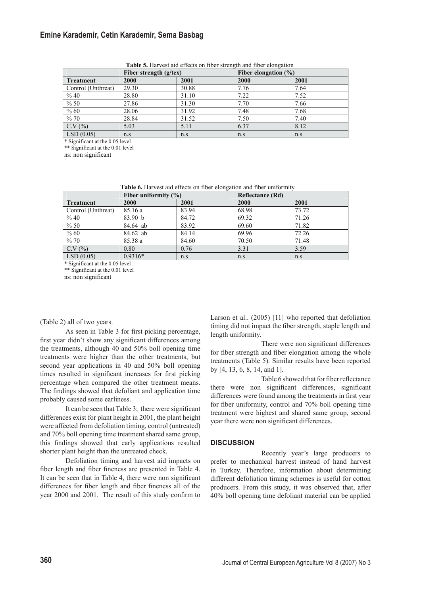# **Emine Karademir, Cetin Karademir, Sema Basbag**

|                    | Fiber strength $(g$ /tex) |       | Fiber elongation $(\%)$ |      |
|--------------------|---------------------------|-------|-------------------------|------|
| Treatment          | 2000                      | 2001  | 2000                    | 2001 |
| Control (Unthreat) | 29.30                     | 30.88 | 7.76                    | 7.64 |
| % 40               | 28.80                     | 31.10 | 7.22                    | 7.52 |
| % 50               | 27.86                     | 31.30 | 7.70                    | 7.66 |
| % 60               | 28.06                     | 31.92 | 7.48                    | 7.68 |
| %70                | 28.84                     | 31.52 | 7.50                    | 7.40 |
| C.V(%)             | 5.03                      | 5.11  | 6.37                    | 8.12 |
| LSD(0.05)          | n.s                       | n.s   | n.s                     | n.s  |

**Table 5.** Harvest aid effects on fiber strength and fiber elongation

\* Significant at the 0.05 level

\*\* Significant at the 0.01 level

ns: non significant

**Table 6.** Harvest aid effects on fiber elongation and fiber uniformity

|                    | Fiber uniformity $(\%)$ |       | <b>Reflectance (Rd)</b> |       |
|--------------------|-------------------------|-------|-------------------------|-------|
| <b>Treatment</b>   | 2000                    | 2001  | 2000                    | 2001  |
| Control (Unthreat) | 85.16 a                 | 83.94 | 68.98                   | 73.72 |
| % 40               | 83.90 b                 | 84.72 | 69.32                   | 71.26 |
| % 50               | 84.64 ab                | 83.92 | 69.60                   | 71.82 |
| % 60               | 84.62 ab                | 84.14 | 69.96                   | 72.26 |
| %70                | 85.38 a                 | 84.60 | 70.50                   | 71.48 |
| C.V(%)             | 0.80                    | 0.76  | 3.31                    | 3.59  |
| LSD(0.05)          | $0.9316*$               | n.s   | n.s                     | n.s   |

\* Significant at the 0.05 level

\*\* Significant at the 0.01 level

ns: non significant

### (Table 2) all of two years.

 As seen in Table 3 for first picking percentage, first year didn't show any significant differences among the treatments, although 40 and 50% boll opening time treatments were higher than the other treatments, but second year applications in 40 and 50% boll opening times resulted in significant increases for first picking percentage when compared the other treatment means. The findings showed that defoliant and application time probably caused some earliness.

 It can be seen that Table 3; there were significant differences exist for plant height in 2001, the plant height were affected from defoliation timing, control (untreated) and 70% boll opening time treatment shared same group, this findings showed that early applications resulted shorter plant height than the untreated check.

 Defoliation timing and harvest aid impacts on fiber length and fiber fineness are presented in Table 4. It can be seen that in Table 4, there were non significant differences for fiber length and fiber fineness all of the year 2000 and 2001. The result of this study confirm to

Larson et al.. (2005) [11] who reported that defoliation timing did not impact the fiber strength, staple length and length uniformity.

 There were non significant differences for fiber strength and fiber elongation among the whole treatments (Table 5). Similar results have been reported by [4, 13, 6, 8, 14, and 1].

 Table 6 showed that for fiber reflectance there were non significant differences, significant differences were found among the treatments in first year for fiber uniformity, control and 70% boll opening time treatment were highest and shared same group, second year there were non significant differences.

### **DISCUSSION**

 Recently year's large producers to prefer to mechanical harvest instead of hand harvest in Turkey. Therefore, information about determining different defoliation timing schemes is useful for cotton producers. From this study, it was observed that, after 40% boll opening time defoliant material can be applied